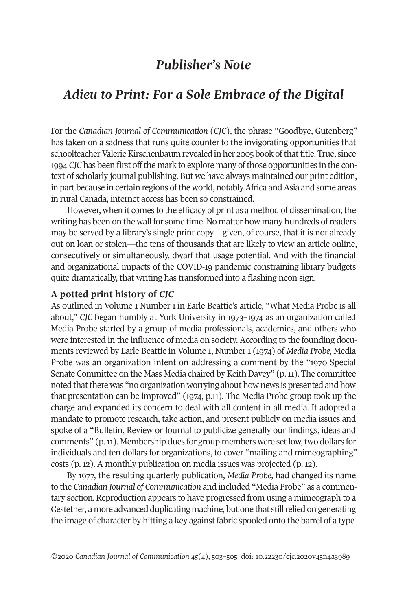# *Publisher's Note*

# *Adieu to Print: For a Sole Embrace of the Digital*

For the *Canadian Journal of Communication* (*CJC*), the phrase "Goodbye, Gutenberg" has taken on a sadness that runs quite counter to the invigorating opportunities that schoolteacher Valerie Kirschenbaum revealed in her 2005 book of that title. True, since 1994 *CJC* has been first offthe mark to explore many ofthose opportunities in the context of scholarly journal publishing. But we have always maintained our print edition, in part because in certain regions of the world, notably Africa and Asia and some areas in rural Canada, internet access has been so constrained.

However, when it comes to the efficacy of print as a method of dissemination, the writing has been on the wall for some time. No matter how many hundreds ofreaders may be served by a library's single print copy—given, of course, that it is not already out on loan or stolen—the tens of thousands that are likely to view an article online, consecutively or simultaneously, dwarf that usage potential. And with the financial and organizational impacts of the COVID-19 pandemic constraining library budgets quite dramatically, that writing has transformed into a flashing neon sign.

### **A potted print history of** *CJC*

As outlined in Volume 1 Number 1 in Earle Beattie's article, "What Media Probe is all about," *CJC* began humbly at York University in 1973–1974 as an organization called Media Probe started by a group of media professionals, academics, and others who were interested in the influence of media on society. According to the founding documents reviewed by Earle Beattie in Volume 1, Number 1 (1974) of *Media Probe,* Media Probe was an organization intent on addressing a comment by the "1970 Special Senate Committee on the Mass Media chaired by Keith Davey" (p.11). The committee noted that there was "no organization worrying about how news is presented and how that presentation can be improved" (1974, p.11). The Media Probe group took up the charge and expanded its concern to deal with all content in all media. It adopted a mandate to promote research, take action, and present publicly on media issues and spoke of a "Bulletin, Review or Journal to publicize generally our findings, ideas and comments" (p. 11). Membership dues for group members were set low, two dollars for individuals and ten dollars for organizations, to cover "mailing and mimeographing" costs (p. 12). A monthly publication on media issues was projected (p. 12).

By 1977, the resulting quarterly publication, *Media Probe*, had changed its name to the *Canadian Journal of Communication* and included "Media Probe" as a commentary section. Reproduction appears to have progressed from using a mimeograph to a Gestetner, a more advanced duplicating machine, but one that stillrelied on generating the image of character by hitting a key against fabric spooled onto the barrel of a type-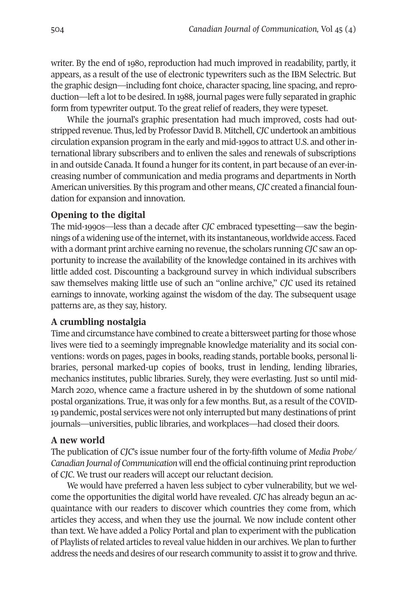writer. By the end of 1980, reproduction had much improved in readability, partly, it appears, as a result of the use of electronic typewriters such as the IBM Selectric. But the graphic design—including font choice, character spacing, line spacing, and reproduction—left a lot to be desired. In 1988, journal pages were fully separated in graphic form from typewriter output. To the great relief of readers, they were typeset.

While the journal's graphic presentation had much improved, costs had outstripped revenue. Thus, led by ProfessorDavid B. Mitchell, *CJC* undertook an ambitious circulation expansion program in the early and mid-1990s to attract U.S. and otherinternational library subscribers and to enliven the sales and renewals of subscriptions in and outside Canada. It found a hunger for its content, in part because of an ever-increasing number of communication and media programs and departments in North American universities. By this program and other means, *CJC* created a financial foundation for expansion and innovation.

# **Opening to the digital**

The mid-1990s—less than a decade after *CJC* embraced typesetting—saw the beginnings of a widening use of the internet, with its instantaneous, worldwide access. Faced with a dormant print archive earning no revenue, the scholars running *CJC* saw an opportunity to increase the availability of the knowledge contained in its archives with little added cost. Discounting a background survey in which individual subscribers saw themselves making little use of such an "online archive," *CJC* used its retained earnings to innovate, working against the wisdom of the day. The subsequent usage patterns are, as they say, history.

### **A crumbling nostalgia**

Time and circumstance have combined to create a bittersweet parting for those whose lives were tied to a seemingly impregnable knowledge materiality and its social conventions: words on pages, pages in books, reading stands, portable books, personal libraries, personal marked-up copies of books, trust in lending, lending libraries, mechanics institutes, public libraries. Surely, they were everlasting. Just so until mid-March 2020, whence came a fracture ushered in by the shutdown of some national postal organizations. True, it was only for a few months. But, as a result of the COVID-19 pandemic, postal services were not only interrupted but many destinations of print journals—universities, public libraries, and workplaces—had closed their doors.

### **A new world**

The publication of *CJC*'s issue number four of the forty-fifth volume of *Media Probe/ Canadian Journal of Communication* will end the official continuing printreproduction of *CJC*. We trust our readers will accept our reluctant decision.

We would have preferred a haven less subject to cyber vulnerability, but we welcome the opportunities the digital world have revealed. *CJC* has already begun an acquaintance with our readers to discover which countries they come from, which articles they access, and when they use the journal. We now include content other than text. We have added a Policy Portal and plan to experiment with the publication of Playlists ofrelated articles to reveal value hidden in our archives. We plan to further address the needs and desires of our research community to assist it to grow and thrive.